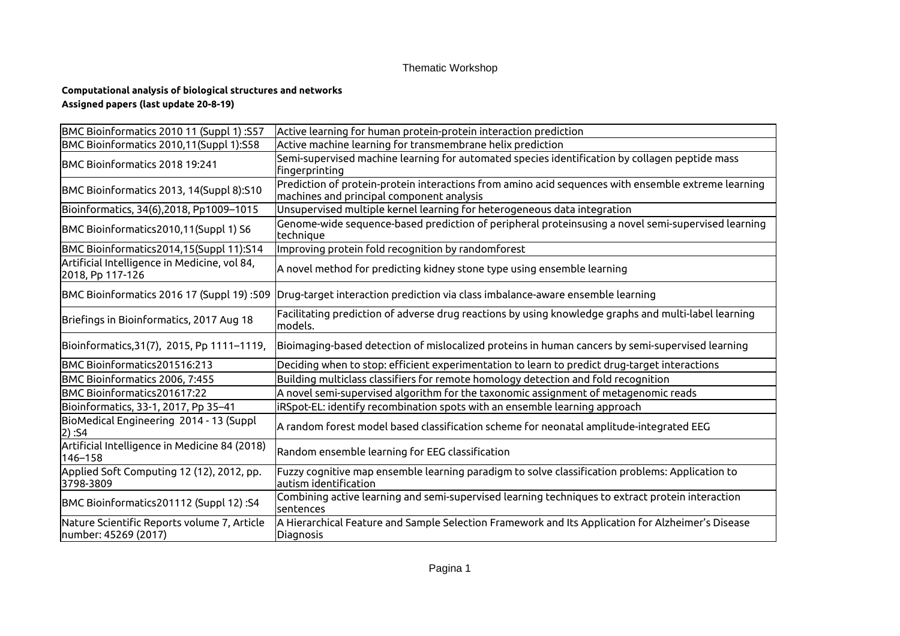## Thematic Workshop

## **Computational analysis of biological structures and networks Assigned papers (last update 20-8-19)**

| BMC Bioinformatics 2010 11 (Suppl 1):S57                            | Active learning for human protein-protein interaction prediction                                                                                 |
|---------------------------------------------------------------------|--------------------------------------------------------------------------------------------------------------------------------------------------|
| BMC Bioinformatics 2010,11(Suppl 1):S58                             | Active machine learning for transmembrane helix prediction                                                                                       |
| BMC Bioinformatics 2018 19:241                                      | Semi-supervised machine learning for automated species identification by collagen peptide mass<br>fingerprinting                                 |
| BMC Bioinformatics 2013, 14(Suppl 8):S10                            | Prediction of protein-protein interactions from amino acid sequences with ensemble extreme learning<br>machines and principal component analysis |
| Bioinformatics, 34(6), 2018, Pp1009-1015                            | Unsupervised multiple kernel learning for heterogeneous data integration                                                                         |
| BMC Bioinformatics2010,11(Suppl 1) S6                               | Genome-wide sequence-based prediction of peripheral proteinsusing a novel semi-supervised learning<br>technique                                  |
| BMC Bioinformatics2014,15(Suppl 11):S14                             | Improving protein fold recognition by randomforest                                                                                               |
| Artificial Intelligence in Medicine, vol 84,<br>2018, Pp 117-126    | A novel method for predicting kidney stone type using ensemble learning                                                                          |
| BMC Bioinformatics 2016 17 (Suppl 19):509                           | Drug-target interaction prediction via class imbalance-aware ensemble learning                                                                   |
| Briefings in Bioinformatics, 2017 Aug 18                            | Facilitating prediction of adverse drug reactions by using knowledge graphs and multi-label learning<br>models.                                  |
| Bioinformatics, 31(7), 2015, Pp 1111-1119,                          | Bioimaging-based detection of mislocalized proteins in human cancers by semi-supervised learning                                                 |
| BMC Bioinformatics201516:213                                        | Deciding when to stop: efficient experimentation to learn to predict drug-target interactions                                                    |
| BMC Bioinformatics 2006, 7:455                                      | Building multiclass classifiers for remote homology detection and fold recognition                                                               |
| BMC Bioinformatics201617:22                                         | A novel semi-supervised algorithm for the taxonomic assignment of metagenomic reads                                                              |
| Bioinformatics, 33-1, 2017, Pp 35-41                                | iRSpot-EL: identify recombination spots with an ensemble learning approach                                                                       |
| BioMedical Engineering 2014 - 13 (Suppl<br>2) :S4                   | A random forest model based classification scheme for neonatal amplitude-integrated EEG                                                          |
| Artificial Intelligence in Medicine 84 (2018)<br>146-158            | Random ensemble learning for EEG classification                                                                                                  |
| Applied Soft Computing 12 (12), 2012, pp.<br>3798-3809              | Fuzzy cognitive map ensemble learning paradigm to solve classification problems: Application to<br>autism identification                         |
| BMC Bioinformatics201112 (Suppl 12) :S4                             | Combining active learning and semi-supervised learning techniques to extract protein interaction<br>lsentences                                   |
| Nature Scientific Reports volume 7, Article<br>number: 45269 (2017) | A Hierarchical Feature and Sample Selection Framework and Its Application for Alzheimer's Disease<br>Diagnosis                                   |